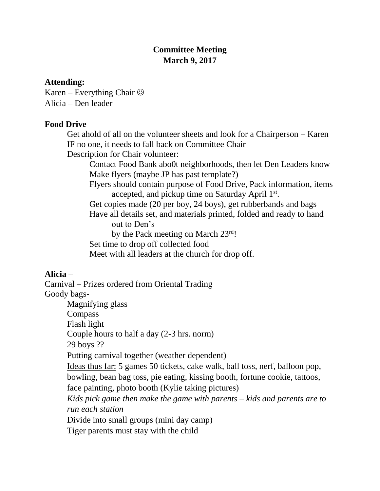## **Committee Meeting March 9, 2017**

## **Attending:**

Karen – Everything Chair  $\odot$ Alicia – Den leader

## **Food Drive**

Get ahold of all on the volunteer sheets and look for a Chairperson – Karen IF no one, it needs to fall back on Committee Chair

Description for Chair volunteer:

Contact Food Bank abo0t neighborhoods, then let Den Leaders know Make flyers (maybe JP has past template?)

Flyers should contain purpose of Food Drive, Pack information, items accepted, and pickup time on Saturday April 1st.

Get copies made (20 per boy, 24 boys), get rubberbands and bags

Have all details set, and materials printed, folded and ready to hand out to Den's

by the Pack meeting on March 23rd!

Set time to drop off collected food

Meet with all leaders at the church for drop off.

## **Alicia –**

Carnival – Prizes ordered from Oriental Trading Goody bags-Magnifying glass

**Compass** 

Flash light

Couple hours to half a day (2-3 hrs. norm)

29 boys ??

Putting carnival together (weather dependent)

Ideas thus far: 5 games 50 tickets, cake walk, ball toss, nerf, balloon pop, bowling, bean bag toss, pie eating, kissing booth, fortune cookie, tattoos, face painting, photo booth (Kylie taking pictures)

*Kids pick game then make the game with parents – kids and parents are to run each station*

Divide into small groups (mini day camp)

Tiger parents must stay with the child